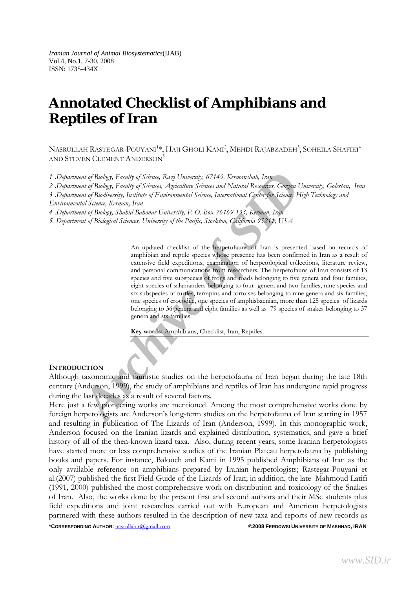## **Annotated Checklist of Amphibians and Reptiles of Iran**

 $\mathrm{Nasnull}$ ah  $\mathrm{RasTEGAR-POUYANI}^{1*}, \mathrm{HAJI}$  Gholi  $\mathrm{KAMI}^{2}, \mathrm{MEHDI}$   $\mathrm{RajABZADEH}^{3}, \mathrm{SOHEILA}$  Shafiei $^{4}$ AND STEVEN CLEMENT ANDERSON<sup>5</sup>

*1* .*Department of Biology, Faculty of Science, Razi University, 67149, Kermanshah, Iran*

*2* .*Department of Biology, Faculty of Sciences, Agriculture Sciences and Natural Resources, Gorgan University, Golestan, Iran* 

*3* .*Department of Biodiversity, Institute of Environmental Science, International Center for Science, High Technology and Environmental Science, Kerman, Iran* 

*4* .*Department of Biology, Shahid Bahonar University, P. O. Box 76169-133, Kerman, Iran* 

*5. Department of Biological Sciences, University of the Pacific, Stockton, California 95211, USA* 

*Archive Control Sience, Razyl University, 67149, Kermansbab, Iray<br>
<i>Archive of Biology, Fraulty of Science, Agriculture Sciences and Natural Resolutions, Gorgan Universed Phology, Fraulty of Science, Agriculture Sciences* An updated checklist of the herpetofauna of Iran is presented based on records of amphibian and reptile species whose presence has been confirmed in Iran as a result of extensive field expeditions, examination of herpetological collections, literature review, and personal communications from researchers. The herpetofauna of Iran consists of 13 species and five subspecies of frogs and toads belonging to five genera and four families, eight species of salamanders belonging to four genera and two families, nine species and six subspecies of turtles, terrapins and tortoises belonging to nine genera and six families, one species of crocodile, one species of amphisbaenian, more than 125 species of lizards belonging to 36 genera and eight families as well as 79 species of snakes belonging to 37 genera and six families.

**Key words:** Amphibians, Checklist, Iran, Reptiles.

#### **INTRODUCTION**

Although taxonomic and faunistic studies on the herpetofauna of Iran began during the late 18th century (Anderson, 1999), the study of amphibians and reptiles of Iran has undergone rapid progress during the last decades as a result of several factors.

Here just a few pioneering works are mentioned. Among the most comprehensive works done by foreign herpetologists are Anderson's long-term studies on the herpetofauna of Iran starting in 1957 and resulting in publication of The Lizards of Iran (Anderson, 1999). In this monographic work, Anderson focused on the Iranian lizards and explained distribution, systematics, and gave a brief history of all of the then-known lizard taxa. Also, during recent years, some Iranian herpetologists have started more or less comprehensive studies of the Iranian Plateau herpetofauna by publishing books and papers. For instance, Balouch and Kami in 1995 published Amphibians of Iran as the only available reference on amphibians prepared by Iranian herpetologists; Rastegar-Pouyani et al.(2007) published the first Field Guide of the Lizards of Iran; in addition, the late Mahmoud Latifi (1991, 2000) published the most comprehensive work on distribution and toxicology of the Snakes of Iran. Also, the works done by the present first and second authors and their MSc students plus field expeditions and joint researches carried out with European and American herpetologists partnered with these authors resulted in the description of new taxa and reports of new records as

**\*CORRESPONDING AUTHOR:** nasrullah.r@gmail.com **©2008 FERDOWSI UNIVERSITY OF MASHHAD, IRAN**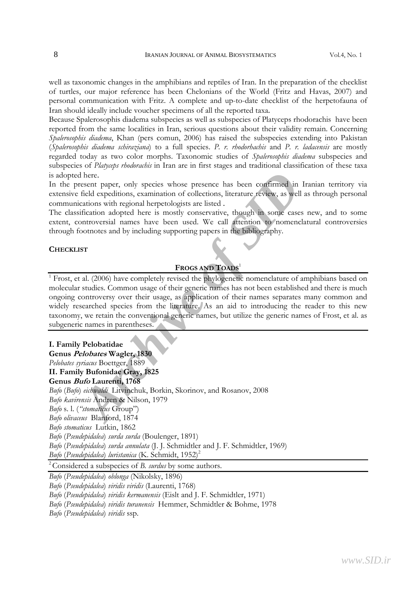well as taxonomic changes in the amphibians and reptiles of Iran. In the preparation of the checklist of turtles, our major reference has been Chelonians of the World (Fritz and Havas, 2007) and personal communication with Fritz. A complete and up-to-date checklist of the herpetofauna of Iran should ideally include voucher specimens of all the reported taxa.

Because Spalerosophis diadema subspecies as well as subspecies of Platyceps rhodorachis have been reported from the same localities in Iran, serious questions about their validity remain. Concerning *Spalerosophis diadema*, Khan (pers comun, 2006) has raised the subspecies extending into Pakistan (*Spalerosophis diadema schiraziana*) to a full species. *P. r. rhodorhachis* and *P. r. ladacensis* are mostly regarded today as two color morphs. Taxonomic studies of *Spalerosophis diadema* subspecies and subspecies of *Platyceps rhodorachis* in Iran are in first stages and traditional classification of these taxa is adopted here.

In the present paper, only species whose presence has been confirmed in Iranian territory via extensive field expeditions, examination of collections, literature review, as well as through personal communications with regional herpetologists are listed .

The classification adopted here is mostly conservative, though in some cases new, and to some extent, controversial names have been used. We call attention to nomenclatural controversies through footnotes and by including supporting papers in the bibliography.

#### **CHECKLIST**

## **FROGS AND TOADS**<sup>1</sup>

<sup>1</sup> Frost, et al. (2006) have completely revised the phylogenetic nomenclature of amphibians based on molecular studies. Common usage of their generic names has not been established and there is much ongoing controversy over their usage, as application of their names separates many common and widely researched species from the literature. As an aid to introducing the reader to this new taxonomy, we retain the conventional generic names, but utilize the generic names of Frost, et al. as subgeneric names in parentheses.

# *Archive Compare (Compare Similar Compare Similar 1800)*<br> *Archive stratute feviciv, as well as field expeditions, examination of collections, literature feviciv, as well as<br>
idiciation solving on a here is mostly conserva* **I. Family Pelobatidae Genus Pelobates Wagler, 1830** *Pelobates syriacus* Boettger, 1889 **II. Family Bufonidae Gray, 1825 Genus Bufo Laurenti, 1768** *Bufo* (*Bufo*) *eichwaldi* Litvinchuk, Borkin, Skorinov, and Rosanov, 2008 *Bufo kavirensis* Andren & Nilson, 1979 *Bufo* s. l. (*"stomaticus* Group") *Bufo olivaceus* Blanford, 1874 *Bufo stomaticus* Lutkin, 1862 *Bufo* (*Pseudepidalea*) *surda surda* (Boulenger, 1891) *Bufo* (*Pseudepidalea*) *surda annulata* (J. J. Schmidtler and J. F. Schmidtler, 1969) *Bufo* (*Pseudepidalea*) *luristanica* (K. Schmidt, 1952)<sup>2</sup>

2 Considered a subspecies of *B. surdus* by some authors.

*Bufo* (*Pseudepidalea*) *oblonga* (Nikolsky, 1896)

*Bufo* (*Pseudepidalea*) *viridis viridis* (Laurenti, 1768)

*Bufo* (*Pseudepidalea*) *viridis kermanensis* (Eislt and J. F. Schmidtler, 1971)

*Bufo* (*Pseudepidalea*) *viridis turanensis* Hemmer, Schmidtler & Bohme, 1978

*Bufo* (*Pseudepidalea*) *viridis* ssp.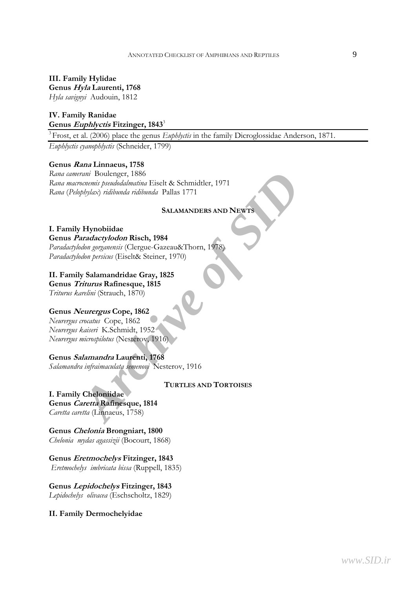**III. Family Hylidae Genus Hyla Laurenti, 1768**  *Hyla savignyi* Audouin, 1812

## **IV. Family Ranidae Genus Euphlyctis Fitzinger, 1843**<sup>3</sup>

<sup>3</sup> Frost, et al. (2006) place the genus *Euphlyctis* in the family Dicroglossidae Anderson, 1871.

*Euphlyctis cyanophlyctis* (Schneider, 1799)

#### **Genus Rana Linnaeus, 1758**

*Archive Simaling Since Content of Since Archive Schmidtler, 1971*<br> *ALAMANDERS AND NEWTS*<br> **ALAMANDERS AND NEWTS**<br> **APPRoduce of SIDRICAL SCIENCE SECTION AND SURVER CONTINUES**<br> *Archive of Symmetrics* (Eiselt& Steiner, 19 *Rana camerani* Boulenger, 1886 *Rana macrocnemis pseudodalmatina* Eiselt & Schmidtler, 1971 *Rana* (*Pelophylax*) *ridibunda ridibunda* Pallas 1771

## **SALAMANDERS AND NEWTS**

#### **I. Family Hynobiidae Genus Paradactylodon Risch, 1984**

*Paradactylodon gorganensis* (Clergue-Gazeau&Thorn, 1978) *Paradactylodon persicus* (Eiselt& Steiner, 1970)

#### **II. Family Salamandridae Gray, 1825**

**Genus Triturus Rafinesque, 1815** 

*Triturus karelini* (Strauch, 1870)

## **Genus Neurergus Cope, 1862**

*Neurergus crocatus* Cope, 1862 *Neurergus kaiseri* K.Schmidt, 1952 *Neurergus microspilotus* (Nesterov, 1916)

## **Genus Salamandra Laurenti, 1768**

*Salamandra infraimaculata semenovi* Nesterov, 1916

**TURTLES AND TORTOISES**

## **I. Family Cheloniidae**

**Genus Caretta Rafinesque, 1814**  *Caretta caretta* (Linnaeus, 1758)

**Genus Chelonia Brongniart, 1800** 

*Chelonia mydas agassizii* (Bocourt, 1868)

**Genus Eretmochelys Fitzinger, 1843**   *Eretmochelys imbricata bissa* (Ruppell, 1835)

**Genus Lepidochelys Fitzinger, 1843**  *Lepidochelys olivacea* (Eschscholtz, 1829)

#### **II. Family Dermochelyidae**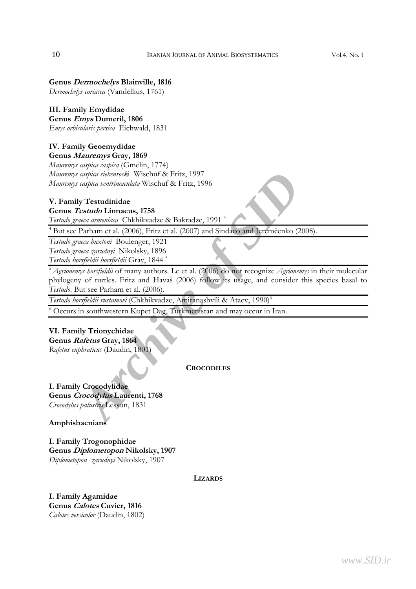## **Genus Dermochelys Blainville, 1816**

*Dermochelys coriacea* (Vandellius, 1761)

## **III. Family Emydidae**

**Genus Emys Dumeril, 1806**  *Emys orbicularis persica* Eichwald, 1831

## **IV. Family Geoemydidae**

**Genus Mauremys Gray, 1869** 

*Mauremys caspica caspica* (Gmelin, 1774) *Mauremys caspica siebenrock*i Wischuf & Fritz, 1997 *Mauremys caspica ventrimaculata* Wischuf & Fritz, 1996

## **V. Family Testudinidae**

## **Genus Testudo Linnaeus, 1758**

*Testudo graeca armeniaca* Chkhikvadze & Bakradze, 1991 4

<sup>4</sup> But see Parham et al. (2006), Fritz et al. (2007) and Sindaco and Jeremčenko (2008).

*Testudo graeca buxtoni* Boulenger, 1921 *Testudo graeca zarudnyi* Nikolsky, 1896 *Testudo horsfieldii horsfieldii* Gray, 1844 5

*Archive and Mission Chief Sincering Chief Archive Singled internalization and Mission Centrimaculata Wischuf & Fritz, 1996<br>
Archive of Archive of Sincering and Mission Chief Singled Linear of Darham et al. (2006), Fritz e* <sup>5</sup>*Agrionemys horsfieldii* of many authors. Le et al. (2006) do not recognize *Agrionemys* in their molecular phylogeny of turtles. Fritz and Havaš (2006) follow its usage, and consider this species basal to *Testudo*. But see Parham et al. (2006).

*Testudo horsfieldii rustamovi* (Chkhikvadze, Amiranashvili & Ataev, 1990)6

6 Occurs in southwestern Kopet Dag, Turkmenistan and may occur in Iran.

## **VI. Family Trionychidae**

**Genus Rafetus Gray, 1864**  *Rafetus euphraticus* (Daudin, 1801)

**CROCODILES**

**I. Family Crocodylidae Genus Crocodylus Laurenti, 1768**  *Crocodylus palustris* Lesson, 1831

**Amphisbaenians** 

**I. Family Trogonophidae Genus Diplometopon Nikolsky, 1907**  *Diplometopon zarudnyi* Nikolsky, 1907

**LIZARDS**

**I. Family Agamidae Genus Calotes Cuvier, 1816**  *Calotes versicolor* (Daudin, 1802)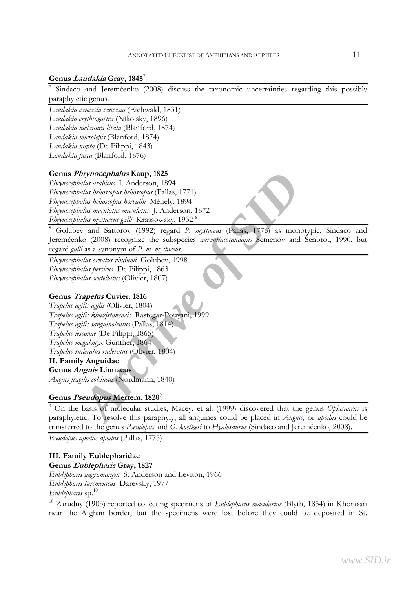## **Genus Laudakia Gray, 1845**<sup>7</sup>

7 Sindaco and Jeremčenko (2008) discuss the taxonomic uncertainties regarding this possibly paraphyletic genus.

*Laudakia caucasia caucasia* (Eichwald, 1831) *Laudakia erythrogastra* (Nikolsky, 1896) *Laudakia melanura lirata* (Blanford, 1874) *Laudakia microlepis* (Blanford, 1874) *Laudakia nupta* (De Filippi, 1843) *Laudakia fusca* (Blanford, 1876)

## **Genus Phrynocephalus Kaup, 1825**

*Phrynocephalus arabicus* J. Anderson, 1894 *Phrynocephalus helioscopus helioscopus* (Pallas, 1771) *Phrynocephalus helioscopus horvathi* Méhely, 1894 *Phrynocephalus maculatus maculatus* J. Anderson, 1872 *Phrynocephalus mystaceus galli* Krassowsky, 1932 8

8 Golubev and Sattorov (1992) regard *P. mystaceus* (Pallas, 1776) as monotypic. Sindaco and Jeremčenko (2008) recognize the subspecies *aurantiacocaudatus* Semenov and Šenbrot, 1990, but regard *galli* as a synonym of *P. m. mystaceus*.

*Phrynocephalus ornatus vindumi* Golubev, 1998 *Phrynocephalus persicus* De Filippi, 1863 *Phrynocephalus scutellatus* (Olivier, 1807)

## **Genus Trapelus Cuvier, 1816**

*Archives SI* Mappy 1825<br>
And was archives J. Melerson, 1894<br>
Adus *behoscopus behoscopus* (Pallas, 1771)<br>
Adus *behoscopus bematibi* Méhely, 1894<br>
Adus *myataeus matulaus* J. Anderson, 1872<br>
Adus *myataeus galli* Krasso *Trapelus agilis agilis* (Olivier, 1804) *Trapelus agilis khuzistanensis* Rastegar-Pouyani, 1999 *Trapelus agilis sanguinolentus* (Pallas, 1814) *Trapelus lessonae* (De Filippi, 1865) *Trapelus megalonyx* Günther, 1864 *Trapelus ruderatus ruderatus* (Olivier, 1804) **II. Family Anguidae** 

**Genus Anguis Linnaeus** 

*Anguis fragilis colchicus* (Nordmann, 1840)

## **Genus Pseudopus Merrem, 1820**<sup>9</sup>

9 On the basis of molecular studies, Macey, et al. (1999) discovered that the genus *Ophisaurus* is paraphyletic. To resolve this paraphyly, all anguines could be placed in *Anguis,* or *apodus* could be transferred to the genus *Pseudopus* and *O. koelkeri* to *Hyalosaurus* (Sindaco and Jeremčenko, 2008).

*Pseudopus apodus apodus* (Pallas, 1775)

## **III. Family Eublepharidae Genus Eublepharis Gray, 1827**  *Eublepharis angramainyu* S. Anderson and Leviton, 1966 *Eublepharis turcmenicus* Darevsky, 1977 *Eublepharis* sp*.* 10

<sup>10</sup> Zarudny (1903) reported collecting specimens of *Eublepharus macularius* (Blyth, 1854) in Khorasan near the Afghan border, but the specimens were lost before they could be deposited in St.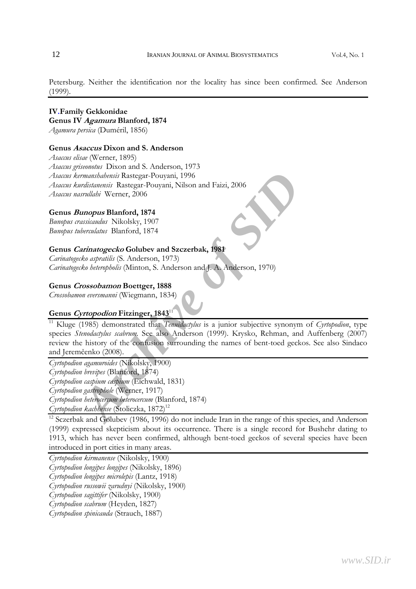Petersburg. Neither the identification nor the locality has since been confirmed. See Anderson (1999).

## **IV.Family Gekkonidae Genus IV Agamura Blanford, 1874**  *Agamura persica* (Duméril, 1856)

#### **Genus Asaccus Dixon and S. Anderson**

*Asaccus elisae* (Werner, 1895) *Asaccus griseonotus* Dixon and S. Anderson, 1973 *Asaccus kermanshahensis* Rastegar-Pouyani, 1996 *Asaccus kurdistanensis* Rastegar-Pouyani, Nilson and Faizi, 2006 *Asaccus nasrullahi* Werner, 2006

#### **Genus Bunopus Blanford, 1874**

*Bunopus crassicaudus* Nikolsky, 1907 *Bunopus tuberculatus* Blanford, 1874

## **Genus Carinatogecko Golubev and Szczerbak, 1981**

*Carinatogecko aspratilis* (S. Anderson, 1973) *Carinatogecko heteropholis* (Minton, S. Anderson and J. A. Anderson, 1970)

#### **Genus Crossobamon Boettger, 1888**

*Crossobamon eversmanni* (Wiegmann, 1834)

## **Genus Cyrtopodion Fitzinger, 1843**<sup>11</sup>

*Architetansis* Rastegar-Pouyani, 1996<br>
Architetansis Rastegar-Pouyani, Nilson and Faizi, 2006<br>
Architecture Sanford, 1874<br>
Architecture Blanford, 1874<br>
Architecture Blanford, 1874<br>
Architecture Blanford, 1874<br>
Architectur 11 Kluge (1985) demonstrated that *Tenuidactylus* is a junior subjective synonym of *Cyrtopodion*, type species *Stenodactylus scabrum.* See also Anderson (1999). Krysko, Rehman, and Auffenberg (2007) review the history of the confusion surrounding the names of bent-toed geckos. See also Sindaco and Jeremčenko (2008).

*Cyrtopodion agamuroides* (Nikolsky, 1900)

*Cyrtopodion brevipes* (Blanford, 1874)

*Cyrtopodion caspium caspium* (Eichwald, 1831)

*Cyrtopodion gastrophole* (Werner, 1917)

*Cyrtopodion heterocercum heterocercum* (Blanford, 1874)

*Cyrtopodion kachhense* (Stoliczka, 1872)<sup>12</sup>

 $\frac{12}{12}$  Sczerbak and Golubev (1986, 1996) do not include Iran in the range of this species, and Anderson (1999) expressed skepticism about its occurrence. There is a single record for Bushehr dating to 1913, which has never been confirmed, although bent-toed geckos of several species have been introduced in port cities in many areas.

*Cyrtopodion kirmanense* (Nikolsky, 1900)

*Cyrtopodion longipes longipes* (Nikolsky, 1896)

*Cyrtopodion longipes microlepis* (Lantz, 1918)

*Cyrtopodion russowii zarudnyi* (Nikolsky, 1900)

*Cyrtopodion sagittifer* (Nikolsky, 1900)

*Cyrtopodion scabrum* (Heyden, 1827)

*Cyrtopodion spinicauda* (Strauch, 1887)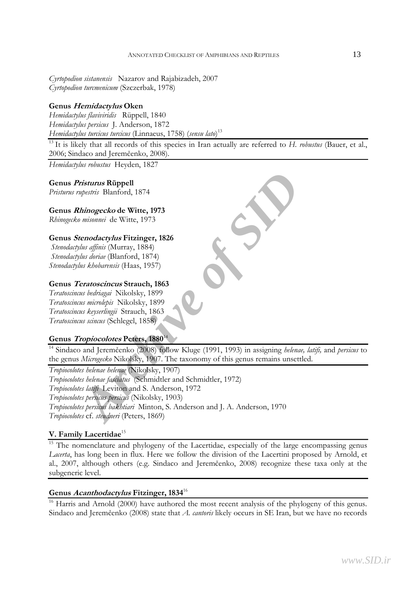*Cyrtopodion sistanensis* Nazarov and Rajabizadeh, 2007 *Cyrtopodion turcmenicum* (Szczerbak, 1978)

## **Genus Hemidactylus Oken**

*Hemidactylus flaviviridis* Rüppell, 1840 *Hemidactylus persicus* J. Anderson, 1872 *Hemidactylus turcicus turcicus* (Linnaeus, 1758) (*sensu lato*) 13

<sup>13</sup> It is likely that all records of this species in Iran actually are referred to *H. robustus* (Bauer, et al., 2006; Sindaco and Jeremčenko, 2008).

*Hemidactylus robustus* Heyden, 1827

## **Genus Pristurus Rüppell**

*Pristurus rupestris* Blanford, 1874

**Genus Rhinogecko de Witte, 1973** 

*Rhinogecko misonnei* de Witte, 1973

## **Genus Stenodactylus Fitzinger, 1826**

*Stenodactylus affinis* (Murray, 1884) *Stenodactylus doriae* (Blanford, 1874) *Stenodactylus khobarensis* (Haas, 1957)

## **Genus Teratoscincus Strauch, 1863**

*Teratoscincus bedriagai* Nikolsky, 1899 *Teratoscincus microlepis* Nikolsky, 1899 *Teratoscincus keyserlingii* Strauch, 1863 *Teratoscincus scincus* (Schlegel, 1858)

## **Genus Tropiocolotes Peters, 1880**<sup>14</sup>

<sup>14</sup> Sindaco and Jeremčenko (2008) follow Kluge (1991, 1993) in assigning *helenae, latifi,* and *persicus* to the genus *Microgecko* Nikolsky, 1907. The taxonomy of this genus remains unsettled.

*Principals Rüppell*<br> *Archimogecko* de Witte, 1973<br> *Misomnei* de Witte, 1973<br> *Archiomnei* de Witte, 1973<br> *Archiomnei* de Witte, 1973<br> *Archionnei* de Witte, 1973<br> *Archionneis (Blanford, 1874)*<br> *Aus kobharensis* (Haas *Tropiocolotes helenae helenae* (Nikolsky, 1907) *Tropiocolotes helenae fasciatus* (Schmidtler and Schmidtler, 1972) *Tropiocolotes latifi* Leviton and S. Anderson, 1972 *Tropiocolotes persicus persicus* (Nikolsky, 1903) *Tropiocolotes persicus bakhtiari* Minton, S. Anderson and J. A. Anderson, 1970 *Tropiocolotes* cf. *steudneri* (Peters, 1869)

## **V. Family Lacertidae**<sup>15</sup>

<sup>15</sup> The nomenclature and phylogeny of the Lacertidae, especially of the large encompassing genus *Lacerta*, has long been in flux. Here we follow the division of the Lacertini proposed by Arnold, et al., 2007, although others (e.g. Sindaco and Jeremčenko, 2008) recognize these taxa only at the subgeneric level.

## **Genus Acanthodactylus Fitzinger, 1834**<sup>16</sup>

<sup>16</sup> Harris and Arnold (2000) have authored the most recent analysis of the phylogeny of this genus. Sindaco and Jeremčenko (2008) state that *A. cantoris* likely occurs in SE Iran, but we have no records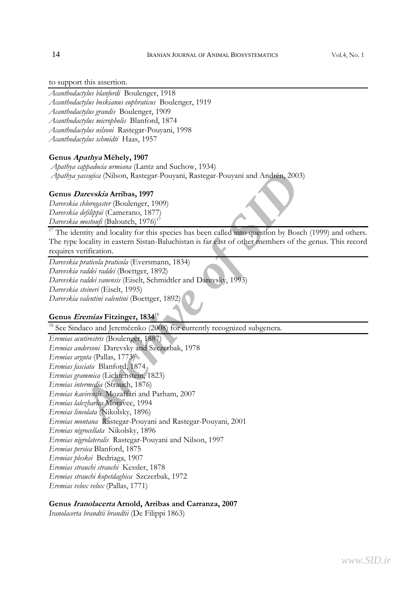## to support this assertion.

- *Acanthodactylus blanfordi* Boulenger, 1918
- *Acanthodactylus boskianus euphraticus* Boulenger, 1919
- *Acanthodactylus grandis* Boulenger, 1909
- *Acanthodactylus micropholis* Blanford, 1874
- *Acanthodactylus nilsoni* Rastegar-Pouyani, 1998
- *Acanthodactylus schmidti* Haas, 1957

#### **Genus Apathya Méhely, 1907**

- *Apathya cappadocia urmiana* (Lantz and Suchow, 1934)
- *Apathya yassujica* (Nilson, Rastegar-Pouyani, Rastegar-Pouyani and Andrén, 2003)

#### **Genus Darevskia Arribas, 1997**

*Darevskia chlorogaster* (Boulenger, 1909) *Darevskia defilippii* (Camerano, 1877) *Darevskia mostoufi* (Baloutch, 1976)<sup>17</sup>

 $17$  The identity and locality for this species has been called into question by Bosch (1999) and others. The type locality in eastern Sistan-Baluchistan is far east of other members of the genus. This record requires verification.

*Darevskia praticola praticola* (Eversmann, 1834) *Darevskia raddei raddei* (Boettger, 1892) *Darevskia raddei vanensis* (Eiselt, Schmidtler and Darevsky, 1993) *Darevskia steineri* (Eiselt, 1995) *Darevskia valentini valentini* (Boettger, 1892)

## **Genus Eremias Fitzinger, 1834**<sup>18</sup>

<sup>18</sup> See Sindaco and Jeremčenko (2008) for currently recognized subgenera.

*Archive (Nilson, Rastegar-Pouyani, Rastegar-Pouyani and Andrén, 2003)*<br> *Arcreskia Arribas, 1997*<br> *Abermaster* (Boulenger, 1909)<br> *Abermaster* (Boulenger, 1909)<br> *Archippii (Camerano, 1877)*<br> *Archivia (Baloutch, 1976)<sup>†*</sup> *Eremias acutirostris* (Boulenger, 1887) *Eremias andersoni* Darevsky and Szczerbak, 1978 *Eremias arguta* (Pallas, 1773) *Eremias fasciata* Blanford, 1874 *Eremias grammica* (Lichtenstein, 1823) *Eremias intermedia* (Strauch, 1876) *Eremias kavirensis* Mozaffari and Parham, 2007 *Eremias lalezharica* Moravec, 1994 *Eremias lineolata* (Nikolsky, 1896) *Eremias montana* Rastegar-Pouyani and Rastegar-Pouyani, 2001 *Eremias nigrocellata* Nikolsky, 1896 *Eremias nigrolateralis* Rastegar-Pouyani and Nilson, 1997 *Eremias persica* Blanford, 1875 *Eremias pleskei* Bedriaga, 1907 *Eremias strauchi strauchi* Kessler, 1878 *Eremias strauchi kopetdaghica* Szczerbak, 1972 *Eremias velox velox* (Pallas, 1771)

#### **Genus Iranolacerta Arnold, Arribas and Carranza, 2007**

*Iranolacerta brandtii brandtii* (De Filippi 1863)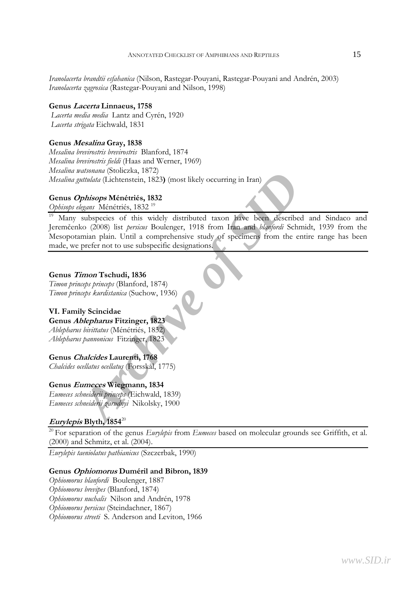*Iranolacerta brandtii esfahanica* (Nilson, Rastegar-Pouyani, Rastegar-Pouyani and Andrén, 2003) *Iranolacerta zagrosica* (Rastegar-Pouyani and Nilson, 1998)

## **Genus Lacerta Linnaeus, 1758**

 *Lacerta media media* Lantz and Cyrén, 1920  *Lacerta strigata* Eichwald, 1831

## **Genus Mesalina Gray, 1838**

*Mesalina brevirostris brevirostris* Blanford, 1874 *Mesalina brevirostris fieldi* (Haas and Werner, 1969) *Mesalina watsonana* (Stoliczka, 1872) *Mesalina guttulata* (Lichtenstein, 1823**)** (most likely occurring in Iran)

## **Genus Ophisops Ménétriés, 1832**

*Ophisops elegans* Ménétriés, 1832 19

*Archivania* (Soloczka, 10<sup>72</sup>) (most likely occurring in Iran)<br> *Archive of SIDP (most also selections, 1823)* (most likely occurring in Iran)<br> *Argans Ménétriés*, 1832<sup>19</sup><br>
subspecies of this widely distributed taxon *ha* Many subspecies of this widely distributed taxon have been described and Sindaco and Jeremčenko (2008) list *persicus* Boulenger, 1918 from Iran and *blanfordi* Schmidt, 1939 from the Mesopotamian plain. Until a comprehensive study of specimens from the entire range has been made, we prefer not to use subspecific designations.

## **Genus Timon Tschudi, 1836**

*Timon princeps princeps* (Blanford, 1874) *Timon princeps kurdistanica* (Suchow, 1936)

## **VI. Family Scincidae**

**Genus Ablepharus Fitzinger, 1823**  *Ablepharus bivittatus* (Ménétriés, 1832)

*Ablepharus pannonicus* Fitzinger, 1823

## **Genus Chalcides Laurenti, 1768**

*Chalcides ocellatus ocellatus* (Forsskål, 1775)

## **Genus Eumeces Wiegmann, 1834**

*Eumeces schneiderii princeps* (Eichwald, 1839) *Eumeces schneiderii zarudnyi* Nikolsky, 1900

## **Eurylepis Blyth, 1854**<sup>20</sup>

<sup>20</sup> For separation of the genus *Eurylepis* from *Eumeces* based on molecular grounds see Griffith, et al. (2000) and Schmitz, et al. (2004).

*Eurylepis taeniolatus pathianicus* (Szczerbak, 1990)

## **Genus Ophiomorus Duméril and Bibron, 1839**

*Ophiomorus blanfordi* Boulenger, 1887 *Ophiomorus brevipes* (Blanford, 1874) *Ophiomorus nuchalis* Nilson and Andrén, 1978 *Ophiomorus persicus* (Steindachner, 1867) *Ophiomorus streeti* S. Anderson and Leviton, 1966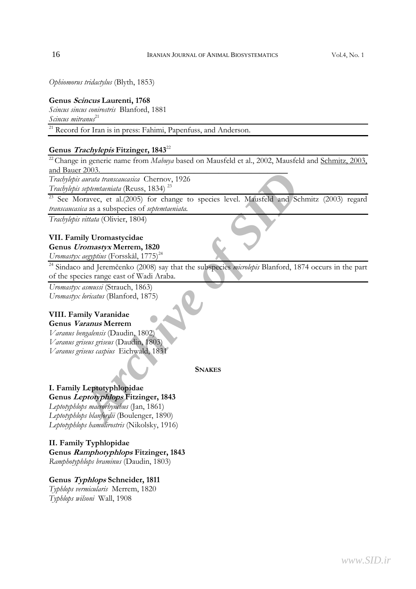*Ophiomorus tridactylus* (Blyth, 1853)

#### **Genus Scincus Laurenti, 1768**

*Scincus sincus conirostris* Blanford, 1881 *Scincus mitranus*<sup>21</sup>

 $\frac{21}{21}$  Record for Iran is in press: Fahimi, Papenfuss, and Anderson.

## **Genus Trachylepis Fitzinger, 1843**<sup>22</sup>

<sup>22</sup> Change in generic name from *Mabuya* based on Mausfeld et al., 2002, Mausfeld and Schmitz, 2003, and Bauer 2003.

*Trachylepis aurata transcaucasica* Chernov, 1926

*Trachylepis septemtaeniata* (Reuss, 1834) 23

<sup>23</sup> See Moravec, et al.(2005) for change to species level. Mausfeld and Schmitz (2003) regard *transcaucasica* as a subspecies of *septemtaeniata.* 

*Trachylepis vittata* (Olivier, 1804)

## **VII. Family Uromastycidae**

## **Genus Uromastyx Merrem, 1820**

*Uromastyx aegyptius* (Forsskål, 1775)<sup>24</sup>

*A* 2005.<br> *Archive and a transaucarica* Chernov, 1926<br> *Archive and a transaucarica* (Reuss, 1834)<sup>23</sup><br> *Coravec*, et al.(2005) for change to species level. Mausfeld and Schmi<br> *Archive of Sidenmaniala.*<br> *Archive of Side* 24 Sindaco and Jeremčenko (2008) say that the subspecies *microlepis* Blanford, 1874 occurs in the part of the species range east of Wadi Araba.

*Uromastyx asmussi* (Strauch, 1863) *Uromastyx loricatus* (Blanford, 1875)

#### **VIII. Family Varanidae Genus Varanus Merrem**

*Varanus bengalensis* (Daudin, 1802) *Varanus griseus griseus* (Daudin, 1803) *Varanus griseus caspius* Eichwald, 1831

**SNAKES**

#### **I. Family Leptotyphlopidae Genus Leptotyphlops Fitzinger, 1843**

*Leptotyphlops macrorhynchus* (Jan, 1861) *Leptotyphlops blanfordii* (Boulenger, 1890) *Leptotyphlops hamulirostris* (Nikolsky, 1916)

## **II. Family Typhlopidae**

**Genus Ramphotyphlops Fitzinger, 1843**  *Ramphotyphlops braminus* (Daudin, 1803)

## **Genus Typhlops Schneider, 1811**

*Typhlops vermicularis* Merrem, 1820 *Typhlops wilsoni* Wall, 1908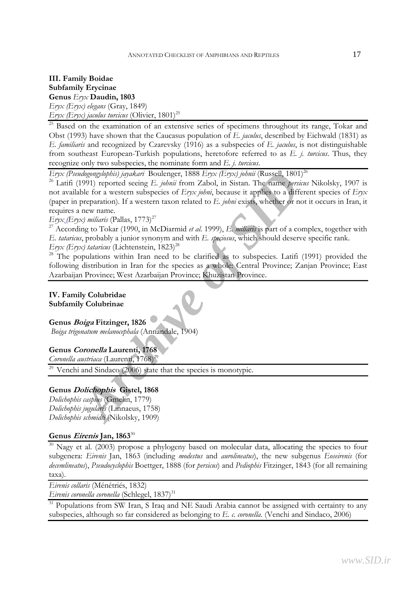## **III. Family Boidae Subfamily Erycinae Genus** *Eryx* **Daudin, 1803**  *Eryx (Eryx) elegans* (Gray, 1849) *Eryx (Eryx) jaculus turcicus* (Olivier,  $1801$ )<sup>25</sup>

<sup>25</sup> Based on the examination of an extensive series of specimens throughout its range, Tokar and Obst (1993) have shown that the Caucasus population of *E. jaculus*, described by Eichwald (1831) as *E. familiaris* and recognized by Czarevsky (1916) as a subspecies of *E. jaculus*, is not distinguishable from southeast European-Turkish populations, heretofore referred to as *E. j. turcicus*. Thus, they recognize only two subspecies, the nominate form and *E. j. turcicus*.

*Eryx (Pseudogongylophis) jayakari* Boulenger, 1888 *Eryx (Eryx) johnii* (Russell, 1801)26

*Archive parameters in the SIDRA*<br> *Archive of SIDRA (Enger F. 1888 Erpx (Erpx) johnii* (Russell, 1801)<sup>26</sup><br>
1991) reported seeing E. johnii from Zabol, in Sistan. The name persizes the<br>
preparation). If a western taxon re 26 Latifi (1991) reported seeing *E. johnii* from Zabol, in Sistan. The name *persicus* Nikolsky, 1907 is not available for a western subspecies of *Eryx johni*, because it applies to a different species of *Eryx* (paper in preparation)*.* If a western taxon related to *E. johni* exists, whether or not it occurs in Iran, it requires a new name.

*Eryx*<sub>-</sub>(*Eryx*) miliaris (Pallas, 1773)<sup>27</sup>

27 According to Tokar (1990, in McDiarmid *et al*. 1999), *E. miliaris* is part of a complex, together with *E. tataricus*, probably a junior synonym and with *E. speciosus*, which should deserve specific rank.

*Eryx (Eryx) tataricus* (Lichtenstein,  $1823)^{28}$ 

 $28$  The populations within Iran need to be clarified as to subspecies. Latifi (1991) provided the following distribution in Iran for the species as a whole: Central Province; Zanjan Province; East Azarbaijan Province; West Azarbaijan Province; Khuzistan Province.

## **IV. Family Colubridae Subfamily Colubrinae**

## **Genus Boiga Fitzinger, 1826**

 *Boiga trigonatum melanocephala* (Annandale, 1904)

## **Genus Coronella Laurenti, 1768**

*Coronella austriaca* (Laurenti, 1768)<sup>29</sup>

 $29$  Venchi and Sindaco (2006) state that the species is monotypic.

## **Genus Dolichophis Gistel, 1868**

*Dolichophis caspius* (Gmelin, 1779) *Dolichophis jugularis* (Linnaeus, 1758) *Dolichophis schmidti* (Nikolsky, 1909)

## **Genus Eirenis Jan, 1863**<sup>30</sup>

<sup>30</sup> Nagy et al. (2003) propose a phylogeny based on molecular data, allocating the species to four subgenera: *Eirenis* Jan, 1863 (including *modestus* and *aurolineatus*), the new subgenus *Eoseirenis* (for *decemlineatus*), *Pseudocyclophis* Boettger, 1888 (for *persicus*) and *Pediophis* Fitzinger, 1843 (for all remaining taxa).

*Eirenis collaris* (Ménétriés, 1832)

*Eirenis coronella coronella* (Schlegel, 1837)<sup>31</sup>

 $31$  Populations from SW Iran, S Iraq and NE Saudi Arabia cannot be assigned with certainty to any subspecies, although so far considered as belonging to *E. c. coronella*. (Venchi and Sindaco, 2006)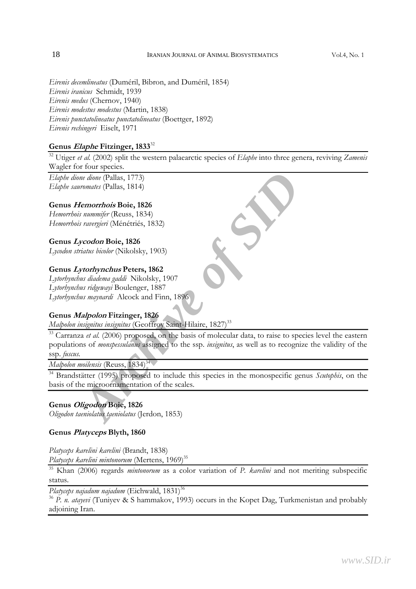*Eirenis decemlineatus* (Duméril, Bibron, and Duméril, 1854) *Eirenis iranicus* Schmidt, 1939 *Eirenis medus* (Chernov, 1940) *Eirenis modestus modestus* (Martin, 1838) *Eirenis punctatolineatus punctatolineatus* (Boettger, 1892) *Eirenis rechingeri* Eiselt, 1971

## **Genus Elaphe Fitzinger, 1833**<sup>32</sup>

32 Utiger *et al.* (2002) split the western palaearctic species of *Elaphe* into three genera, reviving *Zamenis*  Wagler for four species.

*Elaphe dione dione* (Pallas, 1773) *Elaphe sauromates* (Pallas, 1814)

## **Genus Hemorrhois Boie, 1826**

*Hemorrhois nummifer* (Reuss, 1834) *Hemorrhois ravergieri* (Ménétriés, 1832)

**Genus Lycodon Boie, 1826**  *Lycodon striatus bicolor* (Nikolsky, 1903)

#### **Genus Lytorhynchus Peters, 1862**

*Lytorhynchus diadema gaddi* Nikolsky, 1907 *Lytorhynchus ridgewayi* Boulenger, 1887 *Lytorhynchus maynardi* Alcock and Finn, 1896

#### **Genus Malpolon Fitzinger, 1826**

*Malpolon insignitus insignitus* (Geoffroy Saint-Hilaire, 1827)<sup>33</sup>

*Archive Compartion*<br> *Archive Compartion*<br> *Archive Compartion*<br> *Archive Compartion*<br> *Archive of Sinumifer* (Reuss, 1834)<br> *Archive of Sinumigraphia*<br> *Archive of Sinumidals* (Nikolsky, 1903)<br> *Archive diadema gaddi* Ni <sup>33</sup> Carranza *et al.* (2006) proposed, on the basis of molecular data, to raise to species level the eastern populations of *monspessulanus* assigned to the ssp. *insignitus*, as well as to recognize the validity of the ssp. *fuscus.*

*Malpolon moilensis* (Reuss, 1834)<sup>34</sup>

<sup>34</sup> Brandstätter (1995) proposed to include this species in the monospecific genus *Scutophis*, on the basis of the microornamentation of the scales.

## **Genus Oligodon Boie, 1826**

*Oligodon taeniolatus taeniolatus* (Jerdon, 1853)

## **Genus Platyceps Blyth, 1860**

*Platyceps karelini karelini* (Brandt, 1838) Platyceps karelini mintonorum (Mertens, 1969)<sup>35</sup>

35 Khan (2006) regards *mintonorum* as a color variation of *P. karelini* and not meriting subspecific status.

*Platyceps najadum najadum* (Eichwald, 1831)<sup>36</sup>

<sup>36</sup> *P. n. atayevi* (Tuniyev & S hammakov, 1993) occurs in the Kopet Dag, Turkmenistan and probably adjoining Iran.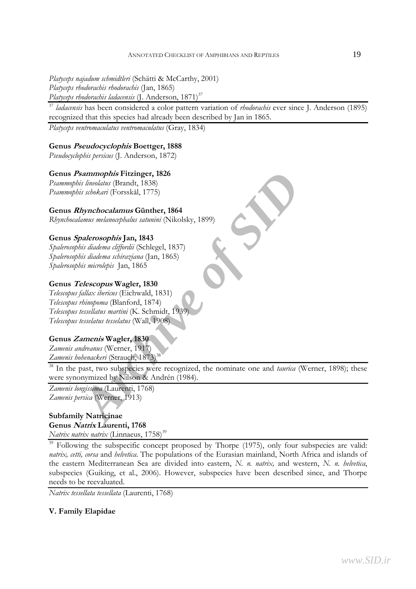*Platyceps najadum schmidtleri* (Schätti & McCarthy, 2001) *Platyceps rhodorachis rhodorachis* (Jan, 1865) *Platyceps rhodorachis ladacensis* (J. Anderson, 1871)<sup>37</sup>

<sup>37</sup> *ladacensis* has been considered a color pattern variation of *rhodorachis* ever since J. Anderson (1895) recognized that this species had already been described by Jan in 1865.

*Platyceps ventromaculatus ventromaculatus* (Gray, 1834)

### **Genus Pseudocyclophis Boettger, 1888**

*Pseudocyclophis persicus* (J. Anderson, 1872)

#### **Genus Psammophis Fitzinger, 1826**

*Psammophis lineolatus* (Brandt, 1838) *Psammophis schokari* (Forsskål, 1775)

#### **Genus Rhynchocalamus Günther, 1864**

*Rhynchocalamus melanocephalus satunini* (Nikolsky, 1899)

#### **Genus Spalerosophis Jan, 1843**

*Spalerosophis diadema cliffordii* (Schlegel, 1837) *Spalerosophis diadema schiraziana* (Jan, 1865) *Spalerosophis microlepis* Jan, 1865

#### **Genus Telescopus Wagler, 1830**

*Telescopus fallax ibericus* (Eichwald, 1831) *Telescopus rhinopoma* (Blanford, 1874) *Telescopus tessellatus martini* (K. Schmidt, 1939) *Telescopus tesselatus tesselatus* (Wall, 1908)

#### **Genus Zamenis Wagler, 1830**

*Zamenis andreanus* (Werner, 1917) *Zamenis hohenackeri* (Strauch, 1873)

*Archives Straits (Straits (Straits 1836)***<br>** *Archivetta (Straits (Straits 1838)***<br>** *Archive of Gresskal, 1775)***<br>** *Archives mediancephalus saturmit* **(Nikolsky, 1899)<br>
<b>***Palerosophis* Jan, 1843<br> *Distaidema diffordii* (Schl 38 In the past, two subspecies were recognized, the nominate one and *taurica* (Werner, 1898); these were synonymized by Nilson & Andrén (1984).

*Zamenis longissima* (Laurenti, 1768) *Zamenis persica* (Werner, 1913)

## **Subfamily Natricinae Genus Natrix Laurenti, 1768**

*Natrix natrix natrix* (Linnaeus, 1758)<sup>39</sup>

Following the subspecific concept proposed by Thorpe (1975), only four subspecies are valid: *natrix, cetti, corsa* and *helvetica*. The populations of the Eurasian mainland, North Africa and islands of the eastern Mediterranean Sea are divided into eastern, *N. n. natrix,* and western, *N. n. helvetica*, subspecies (Guiking, et al., 2006). However, subspecies have been described since, and Thorpe needs to be reevaluated.

*Natrix tessellata tessellata* (Laurenti, 1768)

## **V. Family Elapidae**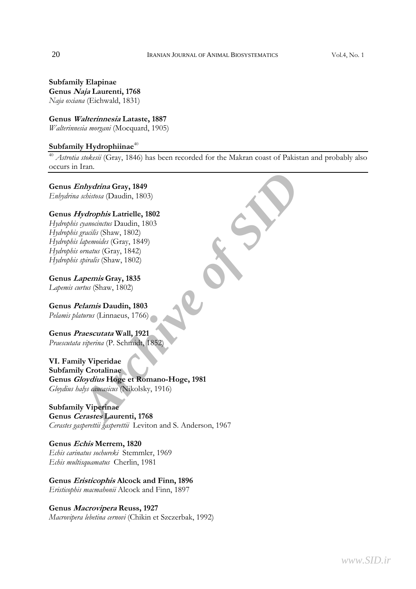**Subfamily Elapinae Genus Naja Laurenti, 1768**  *Naja oxiana* (Eichwald, 1831)

**Genus Walterinnesia Lataste, 1887**  *Walterinnesia morgani* (Mocquard, 1905)

#### Subfamily Hydrophiinae<sup>40</sup>

<sup>40</sup> *Astrotia stokesii* (Gray, 1846) has been recorded for the Makran coast of Pakistan and probably also occurs in Iran.

**Genus Enhydrina Gray, 1849**  *Enhydrina schistosa* (Daudin, 1803)

#### **Genus Hydrophis Latrielle, 1802**

*Hydrophis cyanocinctus* Daudin, 1803 *Hydrophis gracilis* (Shaw, 1802) *Hydrophis lapemoides* (Gray, 1849) *Hydrophis ornatus* (Gray, 1842) *Hydrophis spiralis* (Shaw, 1802)

**Genus Lapemis Gray, 1835**  *Lapemis curtus* (Shaw, 1802)

**Genus Pelamis Daudin, 1803**  *Pelamis platurus* (Linnaeus, 1766)

**Genus Praescutata Wall, 1921**  *Praescutata viperina* (P. Schmidt, 1852)

**Control Control Control Control Control Control Control Control Control Control Control Control Control Control Control Control Control Control Control Control Control Control Control Control Control Control Control Contr VI. Family Viperidae Subfamily Crotalinae Genus Gloydius Hoge et Romano-Hoge, 1981**  *Gloydius halys caucasicus* (Nikolsky, 1916)

**Subfamily Viperinae Genus Cerastes Laurenti, 1768**  *Cerastes gasperettii gasperettii* Leviton and S. Anderson, 1967

**Genus Echis Merrem, 1820**  *Echis carinatus sochureki* Stemmler, 1969 *Echis multisquamatus* Cherlin, 1981

**Genus Eristicophis Alcock and Finn, 1896**  *Eristicophis macmahonii* Alcock and Finn, 1897

#### **Genus Macrovipera Reuss, 1927**

*Macrovipera lebetina cernovi* (Chikin et Szczerbak, 1992)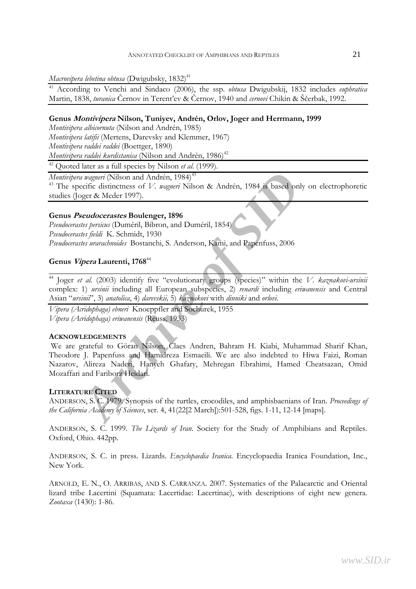*Macrovipera lebetina obtusa* (Dwigubsky, 1832)<sup>41</sup>

41 According to Venchi and Sindaco (2006), the ssp. *obtusa* Dwigubskij, 1832 includes *euphratica*  Martin, 1838, *turanica* Černov in Terent'ev & Černov, 1940 and *cernovi* Chikin & Ščerbak, 1992.

## **Genus Montivipera Nilson, Tuniyev, Andrén, Orlov, Joger and Herrmann, 1999**

*Montivipera albicornuta* (Nilson and Andrén, 1985) *Montivipera latifii* (Mertens, Darevsky and Klemmer, 1967) *Montivipera raddei raddei* (Boettger, 1890) *Montivipera raddei kurdistanica* (Nilson and Andrén, 1986)<sup>42</sup>

42 Quoted later as a full species by Nilson *et al*. (1999).

*Montivipera wagneri* (Nilson and Andrén, 1984)<sup>43</sup>

43 The specific distinctness of *V. wagneri* Nilson & Andrén, 1984 is based only on electrophoretic studies (Joger & Meder 1997).

## **Genus Pseudocerastes Boulenger, 1896**

*Pseudocerastes persicus* (Duméril, Bibron, and Duméril, 1854) *Pseudocerastes fieldi* K. Schmidt, 1930 *Pseudocerastes urarachnoides* Bostanchi, S. Anderson, Kami, and Papenfuss, 2006

## **Genus Vipera Laurenti, 1768**<sup>44</sup>

44 Joger *et al.* (2003) identify five "evolutionary groups (species)" within the *V. kaznakovi-ursinii*  complex: 1) *ursinii* including all European subspecies, 2) *renardi* including *eriwanensis* and Central Asian "*ursinii*", 3) *anatolica*, 4) *darevskii,* 5) *kaznakovi* with *dinniki* and *orlovi*.

\_\_\_\_\_\_\_\_\_\_\_\_\_\_\_\_\_\_\_\_\_\_\_\_\_\_\_\_\_\_\_\_\_\_\_\_\_\_\_\_\_\_\_\_\_\_\_\_\_\_\_\_\_\_\_\_\_\_\_\_\_\_\_\_\_\_\_\_\_\_\_\_\_\_\_\_\_\_

*Vipera (Acridophaga) ebneri* Knoeppfler and Sochurek, 1955 *Vipera (Acridophaga) eriwanensis* (Reuss, 1933)

## **ACKNOWLEDGEMENTS**

*Aragneri* (Nilson and Andrén, 1984)<sup>43</sup><br> *Aragneri* (Nilson and Andrén, 1984)<sup>43</sup><br> *Archive Donger & Meder 1997*).<br> *Beudocerastes* Boulenger, 1896<br> *Archive primalic Unneeril, Bibron, and Duméril, 1854*<br> *Archive primali* We are grateful to Göran Nilson, Claes Andren, Bahram H. Kiabi, Muhammad Sharif Khan, Theodore J. Papenfuss and Hamidreza Esmaeili. We are also indebted to Hiwa Faizi, Roman Nazarov, Alireza Naderi, Hanyeh Ghafary, Mehregan Ebrahimi, Hamed Cheatsazan, Omid Mozaffari and Fariborz Heidari.

## **LITERATURE CITED**

ANDERSON, S. C. 1979. Synopsis of the turtles, crocodiles, and amphisbaenians of Iran. *Proceedings of the California Academy of Sciences*, ser. 4, 41(22[2 March]):501-528, figs. 1-11, 12-14 [maps].

ANDERSON, S. C. 1999. *The Lizards of Iran*. Society for the Study of Amphibians and Reptiles. Oxford, Ohio. 442pp.

ANDERSON, S. C. in press. Lizards. *Encyclopaedia Iranica*. Encyclopaedia Iranica Foundation, Inc., New York.

ARNOLD, E. N., O. ARRIBAS, AND S. CARRANZA. 2007. Systematics of the Palaearctic and Oriental lizard tribe Lacertini (Squamata: Lacertidae: Lacertinae), with descriptions of eight new genera. *Zootaxa* (1430): 1-86.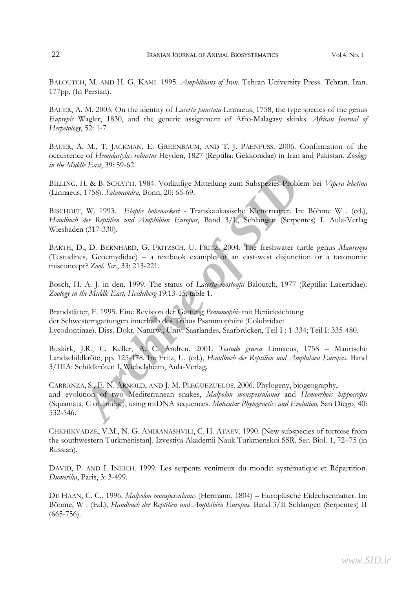BALOUTCH, M. AND H. G. KAMI. 1995. *Amphibians of Iran*. Tehran University Press. Tehran. Iran. 177pp. (In Persian).

BAUER, A. M. 2003. On the identity of *Lacerta punctata* Linnaeus, 1758, the type species of the genus *Euprepis* Wagler, 1830, and the generic assignment of Afro-Malagasy skinks. *African Journal of Herpetology*, 52: 1-7.

BAUER, A. M., T. JACKMAN, E. GREENBAUM, AND T. J. PAENFUSS. 2006. Confirmation of the occurrence of *Hemidactylus robustus* Heyden, 1827 (Reptilia: Gekkonidae) in Iran and Pakistan. *Zoology in the Middle East*, 39: 59-62.

BILLING, H. & B. SCHÄTTI. 1984. Vorläufige Mitteilung zum Subspezies-Problem bei *Vipera lebetina*  (Linnaeus, 1758). *Salamandra*, Bonn, 20: 65-69.

BISCHOFF, W. 1993. *Elaphe hohenackeri* - Transkaukasische Kletternatter. In: Böhme W . (ed.), *Handbuch der Reptilien und Amphibien Europas*, Band 3/I., Schlangen (Serpentes) I. Aula-Verlag Wiesbaden (317-330).

BARTH, D., D. BERNHARD, G. FRITZSCH, U. FRITZ. 2004. The freshwater turtle genus *Mauremys*  (Testudines, Geoemydidae) – a textbook example of an east-west disjunction or a taxonomic misconcept? *Zool. Scr*., 33: 213-221.

Bosch, H. A. J. in den. 1999. The status of *Lacerta mostoufii* Baloutch, 1977 (Reptilia: Lacertidae). *Zoology in the Middle East, Heidelberg* 19:13-15, table 1.

Brandstätter, F. 1995. Eine Revision der Gattung *Psammophis* mit Berücksichtung der Schwesterngattungen innerhalb des Tribus Psammophiini (Colubridae: Lycodontinae). Diss. Dokt. Naturw., Univ. Saarlandes, Saarbrücken, Teil I : 1-334; Teil I: 335-480.

Buskirk, J.R., C. Keller, A. C. Andreu. 2001. *Testudo graeca* Linnaeus, 1758 – Maurische Landschildkröte, pp. 125-178. In: Fritz, U. (ed.), *Handbuch der Reptilien und Amphibien Europas*. Band 3/IIIA: Schildkröten I. Wiebelsheim, Aula-Verlag.

H. & B. SCHÄTTI. 1984. Vorläufige Mitteilung zum Subspezies-Problem 1, 1758). *Salamandra*, Bonn, 20: 65-69.<br>
<sup>7</sup>, W. 1993. *Elaphe Iohenackeri* - Transkaukasische Kleitermatter. In: B. *der Reptilien und Amphibien Europas* CARRANZA, S., E. N. ARNOLD, AND J. M. PLEGUEZUELOS. 2006. Phylogeny, biogeography, and evolution of two Mediterranean snakes, *Malpolon monspessulanus* and *Hemorrhois hippocrepis*  (Squamata, C olubridae), using mtDNA sequences. *Molecular Phylogenetics and Evolution,* San Diego, 40: 532-546.

CHKHIKVADZE, V.M., N. G. AMIRANASHVILI, C. H. ATAEV. 1990. [New subspecies of tortoise from the southwestern Turkmenistan]. Izvestiya Akademii Nauk Turkmenskoi SSR. Ser. Biol. 1, 72–75 (in Russian).

DAVID, P. AND I. INEICH. 1999. Les serpents venimeux du monde: systématique et Répartition. *Dumerilia*, Paris, 3: 3-499.

DE HAAN, C. C., 1996. *Malpolon monspessulanus* (Hermann, 1804) – Europäische Eidechsennatter. In: Böhme, W . (Ed.), *Handbuch der Reptilien und Amphibien Europas.* Band 3/II Schlangen (Serpentes) II (665-756).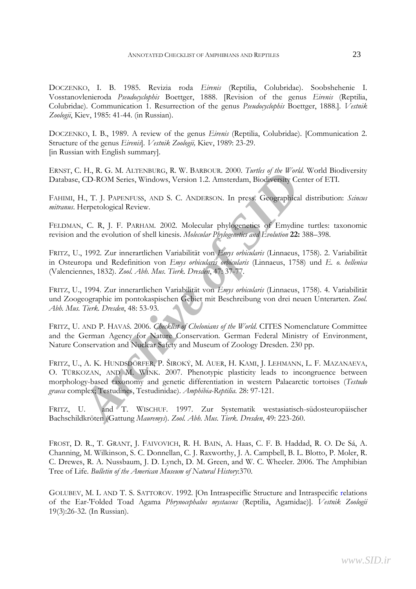DOCZENKO, I. B. 1985. Revizia roda *Eirenis* (Reptilia, Colubridae). Soobshehenie I. Vosstanovlenieroda *Pseudocyclophis* Boettger, 1888. [Revision of the genus *Eirenis* (Reptilia, Colubridae). Communication 1. Resurrection of the genus *Pseudocyclophis* Boettger, 1888.]. *Vestnik Zoologii*, Kiev, 1985: 41-44. (in Russian).

DOCZENKO, I. B., 1989. A review of the genus *Eirenis* (Reptilia, Colubridae). [Communication 2. Structure of the genus *Eirenis*]. *Vestnik Zoologii,* Kiev, 1989: 23-29. [in Russian with English summary].

ERNST, C. H., R. G. M. ALTENBURG, R. W. BARBOUR. 2000. *Turtles of the World*. World Biodiversity Database, CD-ROM Series, Windows, Version 1.2. Amsterdam, Biodiversity Center of ETI.

FAHIMI, H., T. J. PAPENFUSS, AND S. C. ANDERSON. In press. Geographical distribution: *Scincus mitranus*. Herpetological Review.

FELDMAN, C. R, J. F. PARHAM. 2002. Molecular phylogenetics of Emydine turtles: taxonomic revision and the evolution of shell kinesis. *Molecular Phylogenetics and Evolution* **22:** 388–398.

FRITZ, U., 1992. Zur innerartlichen Variabilität von *Emys orbicularis* (Linnaeus, 1758). 2. Variabilität in Osteuropa und Redefinition von *Emys orbicularis orbicularis* (Linnaeus, 1758) und *E. o. hellenica*  (Valenciennes, 1832). *Zool. Abh. Mus. Tierk*. *Dresden*, 47: 37-77.

FRITZ, U., 1994. Zur innerartlichen Variabilität von *Emys orbicularis* (Linnaeus, 1758). 4. Variabilität und Zoogeographie im pontokaspischen Gebiet mit Beschreibung von drei neuen Unterarten. *Zool. Abh. Mus. Tierk. Dresden*, 48: 53-93.

FRITZ, U. AND P. HAVAŠ. 2006. *Checklist of Chelonians of the World*. CITES Nomenclature Committee and the German Agency for Nature Conservation. German Federal Ministry of Environment, Nature Conservation and Nuclear Safety and Museum of Zoology Dresden. 230 pp.

*Archive Contention, R. W. BAKNOUR. 2000. Thints by the wind. W. C. D. ROSEN SCHEMB, WINDINGTON, R. W. SANCHONGTON, The Wall West There II, T. J. P. P. P. P. P. P. P. P. P. R. S. C. ANDERSON. In press. Geographical dis He* FRITZ, U., A. K. HUNDSDÖRFER, P. ŠIROKÝ, M. AUER, H. KAMI, J. LEHMANN, L. F. MAZANAEVA, O. TÜRKOZAN, AND M. WINK. 2007. Phenotypic plasticity leads to incongruence between morphology-based taxonomy and genetic differentiation in western Palaearctic tortoises (*Testudo graeca* complex; Testudines, Testudinidae). *Amphibia-Reptilia*. 28: 97-121.

FRITZ, U. and T. WISCHUF. 1997. Zur Systematik westasiatisch-südosteuropäischer Bachschildkröten (Gattung *Mauremys*). *Zool. Abh. Mus. Tierk. Dresden*, 49: 223-260.

FROST, D. R., T. GRANT, J. FAIVOVICH, R. H. BAIN, A. Haas, C. F. B. Haddad, R. O. De Sá, A. Channing, M. Wilkinson, S. C. Donnellan, C. J. Raxworthy, J. A. Campbell, B. L. Blotto, P. Moler, R. C. Drewes, R. A. Nussbaum, J. D. Lynch, D. M. Green, and W. C. Wheeler. 2006. The Amphibian Tree of Life. *Bulletin of the American Museum of Natural History*:370.

GOLUBEV, M. L AND T. S. SATTOROV. 1992. [On Intraspeciflic Structure and Intraspecific relations of the Ear-'Folded Toad Agama *Phrynocephalus mystaceus* (Reptilia, Agamidae)]. *Vestnik Zoologii* 19(3):26-32. (In Russian).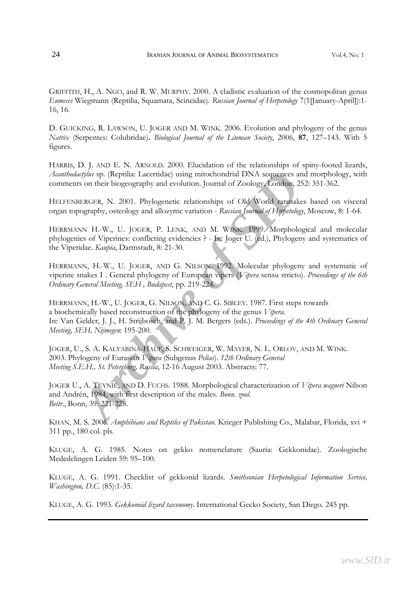GRIFFITH, H., A. NGO, and R. W. MURPHY. 2000. A cladistic evaluation of the cosmopolitan genus *Eumeces* Wiegmann (Reptilia, Squamata, Scincidae). *Russian Journal of Herpetology* 7(1[January-April]):1- 16, 16.

D. GUICKING, R. LAWSON, U. JOGER AND M. WINK. 2006. Evolution and phylogeny of the genus *Natrix* (Serpentes: Colubridae)**.** *Biological Journal of the Linnean Society*, 2006, **87**, 127–143. With 5 figures.

HARRIS, D. J. AND E. N. ARNOLD. 2000. Elucidation of the relationships of spiny-footed lizards, *Acanthodactylus* sp. (Reptilia: Lacertidae) using mitochondrial DNA sequences and morphology, with comments on their biogeography and evolution. Journal of Zoology, London, 252: 351-362.

HELFENBERGER, N. 2001. Phylogenetic relationships of Old World ratsnakes based on visceral organ topography, osteology and allozyme variation - *Russian Journal of Herpetology*, Moscow, 8: 1-64.

HERRMANN H.-W., U. JOGER, P. LENK, AND M. WINK. 1999. Morphological and molecular phylogenies of Viperines: conflicting evidencies ? - In: Joger U. (ed.), Phylogeny and systematics of the Viperidae. *Kaupia*, Darmstadt, 8: 21-30.

HERRMANN, H.-W., U. JOGER, AND G. NILSON. 1992. Molecular phylogeny and systematic of viperine snakes I . General phylogeny of European vipers (*Vipera* sensu stricto). *Proceedings of the 6th Ordinary General Meeting, SEH , Budapest*, pp. 219-224.

*Archive* sp. (Reptilia: Lacertidae) using mitochondrial DNA sequences and n<br>
son their biogeography and evolution. Journal of Zoology, London, 252: 3<br> *AFRGER*, N. 2001. Phylogenetic relationships of Old World ratsnakes b HERRMANN, H.-W., U. JOGER, G. NILSON, AND C. G. SIBLEY. 1987. First steps towards a biochemically based reconstruction of the phylogeny of the genus *Vipera.* In: Van Gelder, J. J., H. Strijbosch, and P. J. M. Bergers (eds.). *Proceedings of the 4th Ordinary General Meeting, SEH, Nijmegen*: 195-200.

JOGER, U., S. A. KALYABINA-HAUF, S. SCHWEIGER, W. MAYER, N. L. ORLOV, AND M. WINK. 2003. Phylogeny of Eurasian *Vipera* (Subgenus *Pelias*). *12th Ordinary General Meeting S.E.H., St. Petersburg, Russia*, 12-16 August 2003. Abstracts: 77.

JOGER U., A. TEYNIÉ, AND D. FUCHS. 1988. Morphological characterization of *Vipera wagneri* Nilson and Andrén, 1984, with first description of the males. *Bonn. zool. Beitr*., Bonn, 39: 221-228.

KHAN, M. S. 2006. *Amphibians and Reptiles of Pakistan*. Krieger Publishing Co., Malabar, Florida, xvi + 311 pp., 180 col. pls.

KLUGE, A. G. 1985. Notes on gekko nomenclature (Sauria: Gekkonidae). Zoologische Mededelingen Leiden 59: 95–100.

KLUGE, A. G. 1991. Checklist of gekkonid lizards. *Smithsonian Herpetological Information Service, Washington, D.C.* (85):1-35.

KLUGE, A. G. 1993. *Gekkonoid lizard taxonomy*. International Gecko Society, San Diego. 245 pp.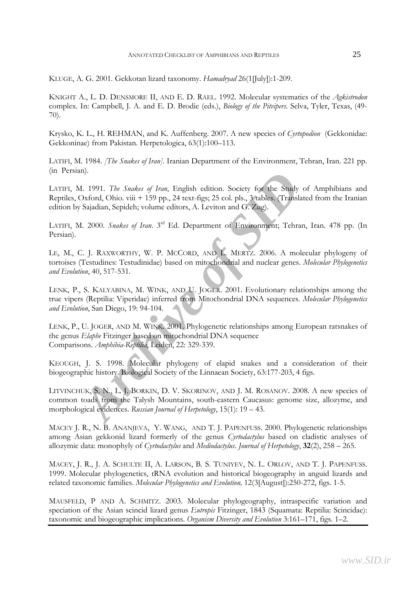KLUGE, A. G. 2001. Gekkotan lizard taxonomy. *Hamadryad* 26(1[July]):1-209.

KNIGHT A., L. D. DENSMORE II, AND E. D. RAEL. 1992. Molecular systematics of the *Agkistrodon*  complex. In: Campbell, J. A. and E. D. Brodie (eds.), *Biology of the Pitvipers*. Selva, Tyler, Texas, (49- 70).

Krysko, K. L., H. REHMAN, and K. Auffenberg. 2007. A new species of *Cyrtopodion* (Gekkonidae: Gekkoninae) from Pakistan. Herpetologica, 63(1):100–113.

LATIFI, M. 1984. *[The Snakes of Iran]*. Iranian Department of the Environment, Tehran, Iran. 221 pp. (in Persian).

LATIFI, M. 1991. *The Snakes of Iran*, English edition. Society for the Study of Amphibians and Reptiles, Oxford, Ohio. viii + 159 pp., 24 text-figs; 25 col. pls., 3 tables. (Translated from the Iranian edition by Sajadian, Sepideh; volume editors, A. Leviton and G. Zug).

LATIFI, M. 2000. *Snakes of Iran*. 3rd Ed. Department of Environment; Tehran, Iran. 478 pp. (In Persian).

LE, M., C. J. RAXWORTHY, W. P. MCCORD, AND L. MERTZ. 2006. A molecular phylogeny of tortoises (Testudines: Testudinidae) based on mitochondrial and nuclear genes. *Molecular Phylogenetics and Evolution*, 40, 517-531.

LENK, P., S. KALYABINA, M. WINK, AND U. JOGER. 2001. Evolutionary relationships among the true vipers (Reptilia: Viperidae) inferred from Mitochondrial DNA sequences. *Molecular Phylogenetics and Evolution*, San Diego, 19: 94-104.

**Archive State of Transfer of Science State State State State State State State State State Oxford, Ohio. viii + 159 pp., 24 text-figs; 25 col. pls, 3 (albes. (Translated Sajadian, Sepideh; volume editors, A. Leviton and G** LENK, P., U. JOGER, AND M. WINK. 2001. Phylogenetic relationships among European ratsnakes of the genus *Elaphe* Fitzinger based on mitochondrial DNA sequence Comparisons. *Amphibia-Reptilia*, Leiden, 22: 329-339.

KEOUGH, J. S. 1998. Molecular phylogeny of elapid snakes and a consideration of their biogeographic history. Biological Society of the Linnaean Society, 63:177-203, 4 figs.

LITVINCHUK, S. N., L. J. BORKIN, D. V. SKORINOV, AND J. M. ROSANOV. 2008. A new species of common toads from the Talysh Mountains, south-eastern Caucasus: genome size, allozyme, and morphological evidences. *Russian Journal of Herpetology*, 15(1): 19 – 43.

MACEY J. R., N. B. ANANJEVA, Y. WANG, AND T. J. PAPENFUSS. 2000. Phylogenetic relationships among Asian gekkonid lizard formerly of the genus *Cyrtodactylus* based on cladistic analyses of allozymic data: monophyly of *Cyrtodactylus* and *Mediodactylus*. *Journal of Herpetology*, **32**(2), 258 – 265.

MACEY, J. R., J. A. SCHULTE II, A. LARSON, B. S. TUNIYEV, N. L. ORLOV, AND T. J. PAPENFUSS. 1999. Molecular phylogenetics, tRNA evolution and historical biogeography in anguid lizards and related taxonomic families. *Molecular Phylogenetics and Evolution,* 12(3[August]):250-272, figs. 1-5.

MAUSFELD, P AND A. SCHMITZ. 2003. Molecular phylogeography, intraspecific variation and speciation of the Asian scincid lizard genus *Eutropis* Fitzinger, 1843 (Squamata: Reptilia: Scincidae): taxonomic and biogeographic implications. *Organism Diversity and Evolution* 3:161–171, figs. 1–2.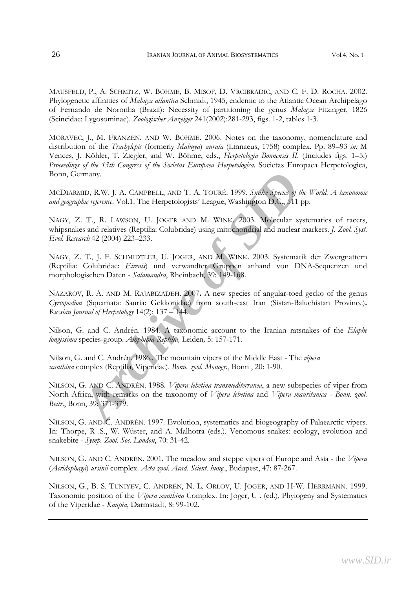MAUSFELD, P., A. SCHMITZ, W. BÖHME, B. MISOF, D. VRCIBRADIC, AND C. F. D. ROCHA. 2002. Phylogenetic affinities of *Mabuya atlantica* Schmidt, 1945, endemic to the Atlantic Ocean Archipelago of Fernando de Noronha (Brazil): Necessity of partitioning the genus *Mabuya* Fitzinger, 1826 (Scincidae: Lygosominae). *Zoologischer Anzeiger* 241(2002):281-293, figs. 1-2, tables 1-3.

MORAVEC, J., M. FRANZEN, AND W. BÖHME. 2006. Notes on the taxonomy, nomenclature and distribution of the *Trachylepis* (formerly *Mabuya*) *aurata* (Linnaeus, 1758) complex. Pp. 89–93 *in:* M Vences, J. Köhler, T. Ziegler, and W. Böhme, eds., *Herpetologia Bonnensis II*. (Includes figs. 1–5.) *Proceedings of the 13th Congress of the Societas Europaea Herpetologica*. Societas Europaea Herpetologica, Bonn, Germany.

MCDIARMID, R.W. J. A. CAMPBELL, AND T. A. TOURÉ. 1999. *Snake Species of the World. A taxonomic and geographic reference*. Vol.1. The Herpetologists' League, Washington D.C., 511 pp.

NAGY, Z. T., R. LAWSON, U. JOGER AND M. WINK. 2003. Molecular systematics of racers, whipsnakes and relatives (Reptilia: Colubridae) using mitochondrial and nuclear markers. *J. Zool. Syst. Evol. Research* 42 (2004) 223–233.

NAGY, Z. T., J. F. SCHMIDTLER, U. JOGER, AND M. WINK. 2003. Systematik der Zwergnattern (Reptilia: Colubridae: *Eirenis*) und verwandter Gruppen anhand von DNA-Sequenzen und morphologischen Daten - *Salamandra*, Rheinbach, 39: 149-168.

NAZAROV, R. A. AND M. RAJABIZADEH. 2007**.** A new species of angular-toed gecko of the genus *Cyrtopodion* (Squamata: Sauria: Gekkonidae) from south-east Iran (Sistan-Baluchistan Province)**.**  *Russian Journal of Herpetology* 14(2): 137 – 144.

Nilson, G. and C. Andrén. 1984. A taxonomic account to the Iranian ratsnakes of the *Elaphe longissima* species-group. *Amphibia-Reptilia,* Leiden*,* 5: 157-171.

Nilson, G. and C. Andrén. 1986.. The mountain vipers of the Middle East - The *vipera xanthina* complex (Reptilia, Viperidae). *Bonn. zool. Monogr.*, Bonn , 20: 1-90.

**EXECUTE:** AND T. A. TOURE. 1999. *Syake Species of the Wohic reference.* Vol.1. The Herpetologists' League, Washington D.C., 511 pp.<br> *A.* T., R. LAWSON, U. JOGER AND M. WINK 2003. Molecular systems and relatives (Reptili NILSON, G. AND C. ANDRÉN. 1988. *Vipera lebetina transmediterranea*, a new subspecies of viper from North Africa, with remarks on the taxonomy of *Vipera lebetina* and *Vipera mauritanica* - *Bonn. zool. Beitr*., Bonn, 39: 371-379.

NILSON, G. AND C. ANDRÉN. 1997. Evolution, systematics and biogeography of Palaearctic vipers. In: Thorpe, R .S., W. Wüster, and A. Malhotra (eds.). Venomous snakes: ecology, evolution and snakebite - *Symp. Zool. Soc. London*, 70: 31-42.

NILSON, G. AND C. ANDRÉN. 2001. The meadow and steppe vipers of Europe and Asia - the *Vipera*  (*Acridophaga*) *ursinii* complex. *Acta zool. Acad. Scient. hung.*, Budapest, 47: 87-267.

NILSON, G., B. S. TUNIYEV, C. ANDRÉN, N. L. ORLOV, U. JOGER, AND H-W. HERRMANN. 1999. Taxonomic position of the *Vipera xanthina* Complex. In: Joger, U . (ed.), Phylogeny and Systematics of the Viperidae - *Kaupia*, Darmstadt, 8: 99-102.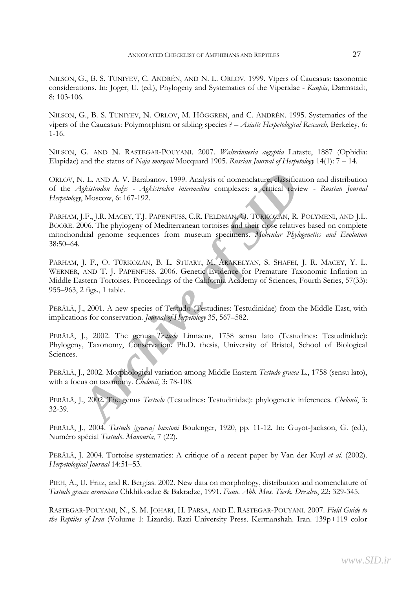NILSON, G., B. S. TUNIYEV, C. ANDRÉN, AND N. L. ORLOV. 1999. Vipers of Caucasus: taxonomic considerations. In: Joger, U. (ed.), Phylogeny and Systematics of the Viperidae - *Kaupia*, Darmstadt, 8: 103-106.

NILSON, G., B. S. TUNIYEV, N. ORLOV, M. HÖGGREN, and C. ANDRÉN. 1995. Systematics of the vipers of the Caucasus: Polymorphism or sibling species ? – *Asiatic Herpetological Research,* Berkeley, 6: 1-16.

NILSON, G. AND N. RASTEGAR-POUYANI. 2007. *Walterinnesia aegyptia* Lataste, 1887 (Ophidia: Elapidae) and the status of *Naja morgani* Mocquard 1905. *Russian Journal of Herpetology* 14(1): 7 – 14.

ORLOV, N. L. AND A. V. Barabanov. 1999. Analysis of nomenclature, classification and distribution of the *Agkistrodon halys - Agkistrodon intermedius* complexes: a critical review - *Russian Journal Herpetology*, Moscow, 6: 167-192.

**ALLAND A. V. Barabanov. 1999. Analysis of nomenclature, elassification**<br>*Agkistrodon halfs - Agkistrodon intermedius* complexes: a critical review  $\gamma$ , Moscow, 6: 167-192.<br>J.F., J.R. MACEY, T.J. PAPENFUSS, C.R. FELDMAN, PARHAM, J.F., J.R. MACEY, T.J. PAPENFUSS, C.R. FELDMAN, O. TÜRKOZAN, R. POLYMENI, AND J.L. BOORE. 2006. The phylogeny of Mediterranean tortoises and their close relatives based on complete mitochondrial genome sequences from museum specimens. *Molecular Phylogenetics and Evolution*  38:50–64.

PARHAM, J. F., O. TÜRKOZAN, B. L. STUART, M. ARAKELYAN, S. SHAFEI, J. R. MACEY, Y. L. WERNER, AND T. J. PAPENFUSS. 2006. Genetic Evidence for Premature Taxonomic Inflation in Middle Eastern Tortoises. Proceedings of the California Academy of Sciences, Fourth Series, 57(33): 955–963, 2 figs., 1 table.

PERÄLÄ, J., 2001. A new species of Testudo (Testudines: Testudinidae) from the Middle East, with implications for conservation. *Journal of Herpetology* 35, 567–582.

PERÄLÄ, J., 2002. The genus *Testudo* Linnaeus, 1758 sensu lato (Testudines: Testudinidae): Phylogeny, Taxonomy, Conservation. Ph.D. thesis, University of Bristol, School of Biological Sciences.

PERÄLÄ, J., 2002. Morphological variation among Middle Eastern *Testudo graeca* L., 1758 (sensu lato), with a focus on taxonomy. *Chelonii*, 3: 78-108.

PERÄLÄ, J., 2002. The genus *Testudo* (Testudines: Testudinidae): phylogenetic inferences. *Chelonii*, 3: 32-39.

PERÄLÄ, J., 2004. *Testudo [graeca] buxtoni* Boulenger, 1920, pp. 11-12. In: Guyot-Jackson, G. (ed.), Numéro spécial *Testudo*. *Manouria*, 7 (22).

PERÄLÄ, J. 2004. Tortoise systematics: A critique of a recent paper by Van der Kuyl *et al.* (2002). *Herpetological Journal* 14:51–53.

PIEH, A., U. Fritz, and R. Berglas. 2002. New data on morphology, distribution and nomenclature of *Testudo graeca armeniaca* Chkhikvadze & Bakradze, 1991. *Faun. Abh. Mus. Tierk. Dresden*, 22: 329-345.

RASTEGAR-POUYANI, N., S. M. JOHARI, H. PARSA, AND E. RASTEGAR-POUYANI. 2007. *Field Guide to the Reptiles of Iran* (Volume 1: Lizards). Razi University Press. Kermanshah. Iran. 139p+119 color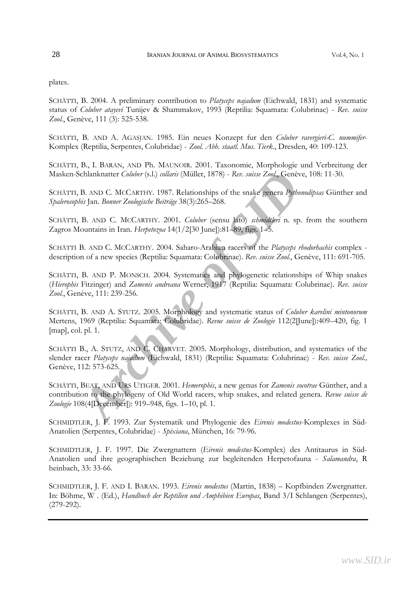plates.

SCHÄTTI, B. 2004. A preliminary contribution to *Platyceps najadum* (Eichwald, 1831) and systematic status of *Coluber atayevi* Tunijev & Shammakov, 1993 (Reptilia: Squamata: Colubrinae) - *Rev. suisse Zool.*, Genève, 111 (3): 525-538.

SCHÄTTI, B. AND A. AGASJAN. 1985. Ein neues Konzept fur den *Coluber ravergieri-C. nummifer*-Komplex (Reptilia, Serpentes, Colubridae) - *Zool. Abh. staatl. Mus. Tierk*., Dresden, 40: 109-123.

SCHÄTTI, B., I. BARAN, AND Ph. MAUNOIR. 2001. Taxonomie, Morphologie und Verbreitung der Masken-Schlanknatter *Coluber* (s.l.) *collaris* (Müller, 1878) - *Rev. suisse Zool.*, Genève, 108: 11-30.

SCHÄTTI, B. AND C. MCCARTHY. 1987. Relationships of the snake genera *Pythonodipsas* Günther and *Spalerosophis* Jan. *Bonner Zoologische Beiträge* 38(3):265–268.

SCHÄTTI, B. AND C. MCCARTHY. 2001. *Coluber* (sensu lato) *schmidtleri* n. sp. from the southern Zagros Mountains in Iran. *Herpetozoa* 14(1/2[30 June]):81–89, figs. 1–5.

SCHÄTTI B. AND C. MCCARTHY. 2004. Saharo-Arabian racers of the *Platyceps rhodorhachis* complex description of a new species (Reptilia: Squamata: Colubrinae). *Rev. suisse Zool.*, Genève, 111: 691-705.

SCHÄTTI, B. AND P. MONSCH. 2004. Systematics and phylogenetic relationships of Whip snakes (*Hierophis* Fitzinger) and *Zamenis andreana* Werner, 1917 (Reptilia: Squamata: Colubrinae). *Rev. suisse Zool.*, Genève, 111: 239-256.

Ferdanknatter *Coluber* (s.l.) *collaris* (Müller, 1878) - *Rev. suisse Zool.*, Genève, 10<br> *B.* AND C. MCCARTHY. 1987. Relationships of the snake genera *Pythonodip*<br> *ARCORTHY.* 1987. Relationships of the snake genera *P* SCHÄTTI, B. AND A. STUTZ. 2005. Morphology and systematic status of *Coluber karelini mintonorum*  Mertens, 1969 (Reptilia: Squamata: Colubridae). *Revue suisse de Zoologie* 112(2[June]):409–420, fig. 1 [map], col. pl. 1.

SCHÄTTI B., A. STUTZ, AND C. CHARVET. 2005. Morphology, distribution, and systematics of the slender racer *Platyceps najadum* (Eichwald, 1831) (Reptilia: Squamata: Colubrinae) - *Rev. suisse Zool.,*  Genève, 112: 573-625.

SCHÄTTI, BEAT, AND URS UTIGER. 2001. *Hemerophis*, a new genus for *Zamenis socotrae* Günther, and a contribution to the phylogeny of Old World racers, whip snakes, and related genera. *Revue suisse de Zoologie* 108(4[December]): 919–948, figs. 1–10, pl. 1.

SCHMIDTLER, J. F. 1993. Zur Systematik und Phylogenie des *Eirenis modestus*-Komplexes in Süd-Anatolien (Serpentes, Colubridae) - *Spixiana*, München, 16: 79-96.

SCHMIDTLER, J. F. 1997. Die Zwergnattern (*Eirenis modestus*-Komplex) des Antitaurus in Süd-Anatolien und ihre geographischen Beziehung zur begleitenden Herpetofauna - *Salamandra*, R heinbach, 33: 33-66.

SCHMIDTLER, J. F. AND I. BARAN. 1993. *Eirenis modestus* (Martin, 1838) – Kopfbinden Zwergnatter. In: Böhme, W . (Ed.), *Handbuch der Reptilien und Amphibien Europas*, Band 3/I Schlangen (Serpentes), (279-292).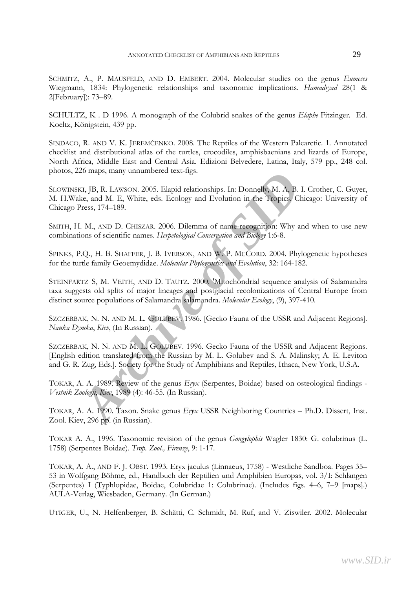SCHMITZ, A., P. MAUSFELD, AND D. EMBERT. 2004. Molecular studies on the genus *Eumeces*  Wiegmann, 1834: Phylogenetic relationships and taxonomic implications. *Hamadryad* 28(1 & 2[February]): 73–89.

SCHULTZ, K . D 1996. A monograph of the Colubrid snakes of the genus *Elaphe* Fitzinger. Ed. Koeltz, Königstein, 439 pp.

SINDACO, R. AND V. K. JEREMČENKO. 2008. The Reptiles of the Western Palearctic. 1. Annotated checklist and distributional atlas of the turtles, crocodiles, amphisbaenians and lizards of Europe, North Africa, Middle East and Central Asia. Edizioni Belvedere, Latina, Italy, 579 pp., 248 col. photos, 226 maps, many unnumbered text-figs.

SLOWINSKI, JB, R. LAWSON. 2005. Elapid relationships. In: Donnelly, M. A, B. I. Crother, C. Guyer, M. H.Wake, and M. E, White, eds. Ecology and Evolution in the Tropics. Chicago: University of Chicago Press, 174–189.

SMITH, H. M., AND D. CHISZAR. 2006. Dilemma of name-recognition: Why and when to use new combinations of scientific names. *Herpetological Conservation and Biology* 1:6-8.

SPINKS, P.Q., H. B. SHAFFER, J. B. IVERSON, AND W. P. MCCORD. 2004. Phylogenetic hypotheses for the turtle family Geoemydidae. *Molecular Phylogenetics and Evolution*, 32: 164-182.

20 maps, many unnumbered text-rigs.<br> *KI*, JB, R. LAWSON. 2005. Elapid relationships. In: Donnelly, M. A, B. I. C<br> *Acchive of M. E.*, White, eds. Ecology and Evolution in the Tropics' Chica;<br> *Press*, 174–189.<br> *L. M., AN* STEINFARTZ S, M. VEITH, AND D. TAUTZ. 2000. 'Mitochondrial sequence analysis of Salamandra taxa suggests old splits of major lineages and postglacial recolonizations of Central Europe from distinct source populations of Salamandra salamandra. *Molecular Ecology*, (9), 397-410.

SZCZERBAK, N. N. AND M. L. GOLUBEV. 1986. [Gecko Fauna of the USSR and Adjacent Regions]. *Nauka Dymka*, *Kiev*, (In Russian).

SZCZERBAK, N. N. AND M. L. GOLUBEV. 1996. Gecko Fauna of the USSR and Adjacent Regions. [English edition translated from the Russian by M. L. Golubev and S. A. Malinsky; A. E. Leviton and G. R. Zug, Eds.]. Society for the Study of Amphibians and Reptiles, Ithaca, New York, U.S.A.

TOKAR, A. A. 1989. Review of the genus *Eryx* (Serpentes, Boidae) based on osteological findings - *Vestnik Zoologii*, *Kiev*, 1989 (4): 46-55. (In Russian).

TOKAR, A. A. 1990. Taxon. Snake genus *Eryx* USSR Neighboring Countries – Ph.D. Dissert, Inst. Zool. Kiev, 296 pp. (in Russian).

TOKAR A. A., 1996. Taxonomic revision of the genus *Gongylophis* Wagler 1830: G. colubrinus (L. 1758) (Serpentes Boidae). *Trop. Zool., Firenze*, 9: 1-17.

TOKAR, A. A., AND F. J. OBST. 1993. Eryx jaculus (Linnaeus, 1758) - Westliche Sandboa. Pages 35– 53 in Wolfgang Böhme, ed., Handbuch der Reptilien und Amphibien Europas, vol. 3/I: Schlangen (Serpentes) I (Typhlopidae, Boidae, Colubridae 1: Colubrinae). (Includes figs. 4–6, 7–9 [maps].) AULA-Verlag, Wiesbaden, Germany. (In German.)

UTIGER, U., N. Helfenberger, B. Schätti, C. Schmidt, M. Ruf, and V. Ziswiler. 2002. Molecular